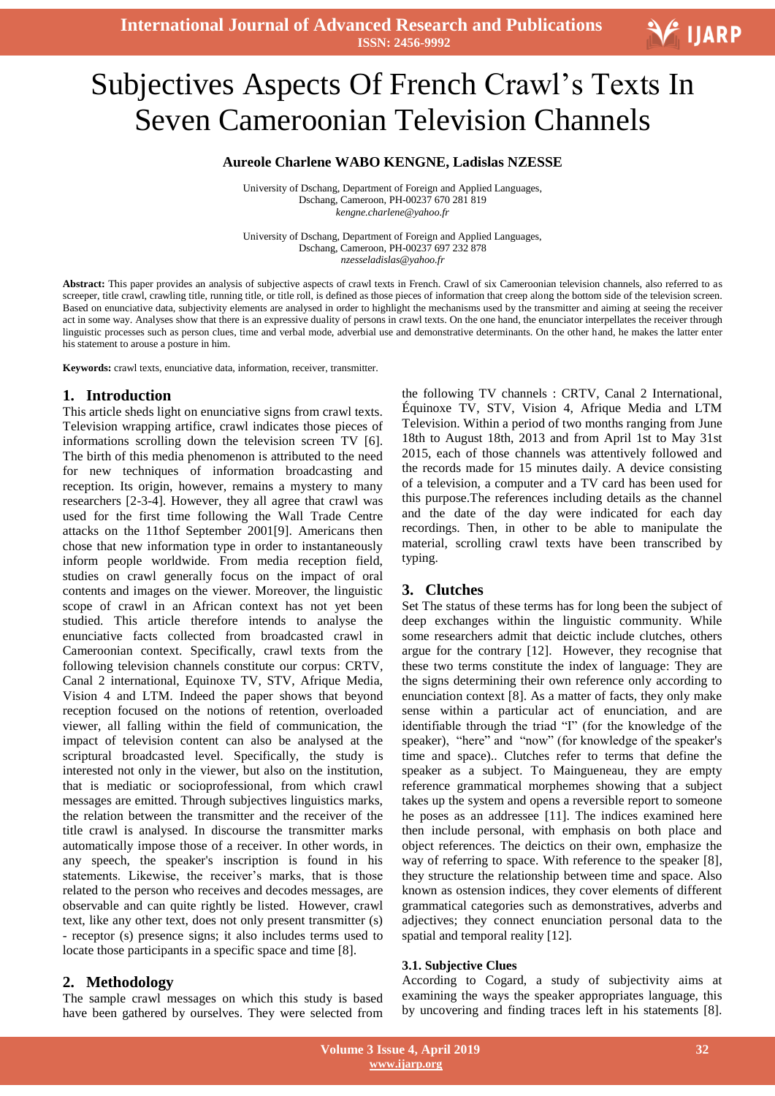# $\overline{a}$ Subjectives Aspects Of French Crawl"s Texts In Seven Cameroonian Television Channels

#### **Aureole Charlene WABO KENGNE, Ladislas NZESSE**

University of Dschang, Department of Foreign and Applied Languages, Dschang, Cameroon, PH-00237 670 281 819 *kengne.charlene@yahoo.fr*

University of Dschang, Department of Foreign and Applied Languages, Dschang, Cameroon, PH-00237 697 232 878 *nzesseladislas@yahoo.fr*

**Abstract:** This paper provides an analysis of subjective aspects of crawl texts in French. Crawl of six Cameroonian television channels, also referred to as screeper, title crawl, crawling title, running title, or title roll, is defined as those pieces of information that creep along the bottom side of the television screen. Based on enunciative data, subjectivity elements are analysed in order to highlight the mechanisms used by the transmitter and aiming at seeing the receiver act in some way. Analyses show that there is an expressive duality of persons in crawl texts. On the one hand, the enunciator interpellates the receiver through linguistic processes such as person clues, time and verbal mode, adverbial use and demonstrative determinants. On the other hand, he makes the latter enter his statement to arouse a posture in him.

**Keywords:** crawl texts, enunciative data, information, receiver, transmitter.

#### **1. Introduction**

This article sheds light on enunciative signs from crawl texts. Television wrapping artifice, crawl indicates those pieces of informations scrolling down the television screen TV [6]. The birth of this media phenomenon is attributed to the need for new techniques of information broadcasting and reception. Its origin, however, remains a mystery to many researchers [2-3-4]. However, they all agree that crawl was used for the first time following the Wall Trade Centre attacks on the 11thof September 2001[9]. Americans then chose that new information type in order to instantaneously inform people worldwide. From media reception field, studies on crawl generally focus on the impact of oral contents and images on the viewer. Moreover, the linguistic scope of crawl in an African context has not yet been studied. This article therefore intends to analyse the enunciative facts collected from broadcasted crawl in Cameroonian context. Specifically, crawl texts from the following television channels constitute our corpus: CRTV, Canal 2 international, Equinoxe TV, STV, Afrique Media, Vision 4 and LTM. Indeed the paper shows that beyond reception focused on the notions of retention, overloaded viewer, all falling within the field of communication, the impact of television content can also be analysed at the scriptural broadcasted level. Specifically, the study is interested not only in the viewer, but also on the institution, that is mediatic or socioprofessional, from which crawl messages are emitted. Through subjectives linguistics marks, the relation between the transmitter and the receiver of the title crawl is analysed. In discourse the transmitter marks automatically impose those of a receiver. In other words, in any speech, the speaker's inscription is found in his statements. Likewise, the receiver's marks, that is those related to the person who receives and decodes messages, are observable and can quite rightly be listed. However, crawl text, like any other text, does not only present transmitter (s) - receptor (s) presence signs; it also includes terms used to locate those participants in a specific space and time [8].

## **2. Methodology**

The sample crawl messages on which this study is based have been gathered by ourselves. They were selected from

the following TV channels : CRTV, Canal 2 International, Équinoxe TV, STV, Vision 4, Afrique Media and LTM Television. Within a period of two months ranging from June 18th to August 18th, 2013 and from April 1st to May 31st 2015, each of those channels was attentively followed and the records made for 15 minutes daily. A device consisting of a television, a computer and a TV card has been used for this purpose.The references including details as the channel and the date of the day were indicated for each day recordings. Then, in other to be able to manipulate the material, scrolling crawl texts have been transcribed by typing.

## **3. Clutches**

Set The status of these terms has for long been the subject of deep exchanges within the linguistic community. While some researchers admit that deictic include clutches, others argue for the contrary [12]. However, they recognise that these two terms constitute the index of language: They are the signs determining their own reference only according to enunciation context [8]. As a matter of facts, they only make sense within a particular act of enunciation, and are identifiable through the triad "I" (for the knowledge of the speaker), "here" and "now" (for knowledge of the speaker's time and space).. Clutches refer to terms that define the speaker as a subject. To Maingueneau, they are empty reference grammatical morphemes showing that a subject takes up the system and opens a reversible report to someone he poses as an addressee [11]. The indices examined here then include personal, with emphasis on both place and object references. The deictics on their own, emphasize the way of referring to space. With reference to the speaker [8], they structure the relationship between time and space. Also known as ostension indices, they cover elements of different grammatical categories such as demonstratives, adverbs and adjectives; they connect enunciation personal data to the spatial and temporal reality [12].

#### **3.1. Subjective Clues**

According to Cogard, a study of subjectivity aims at examining the ways the speaker appropriates language, this by uncovering and finding traces left in his statements [8].

V IJARP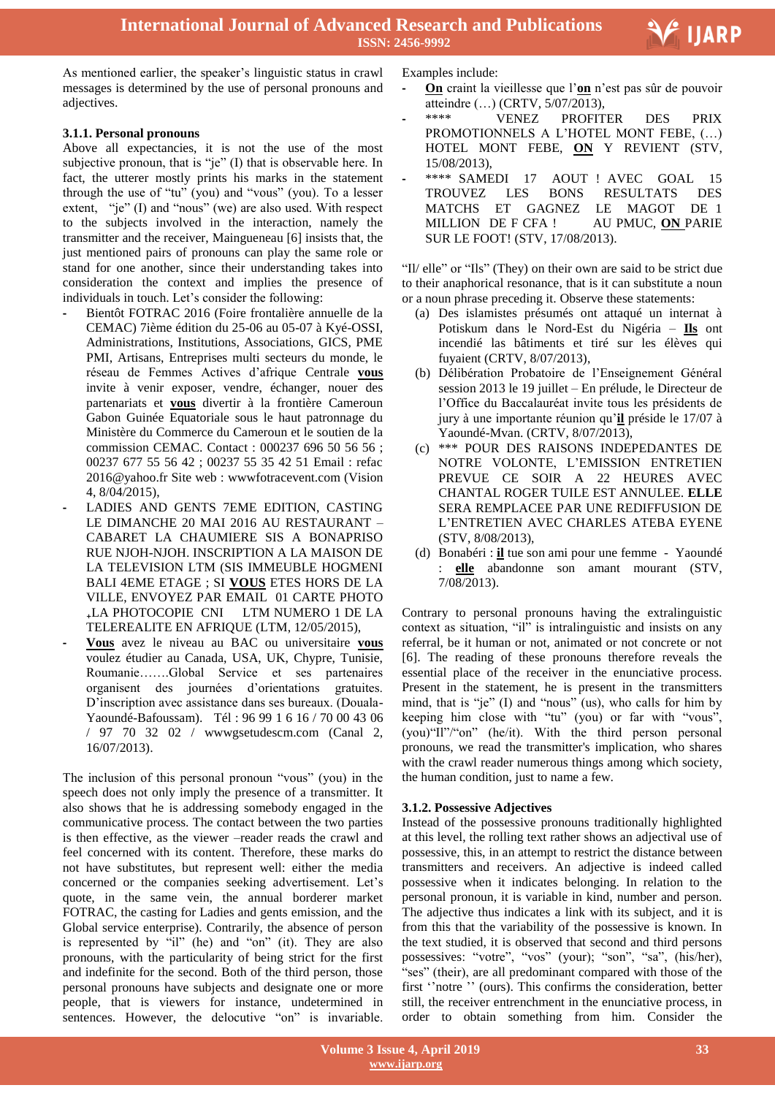As mentioned earlier, the speaker's linguistic status in crawl messages is determined by the use of personal pronouns and adjectives.

## **3.1.1. Personal pronouns**

- Above all expectancies, it is not the use of the most subjective pronoun, that is "je" (I) that is observable here. In fact, the utterer mostly prints his marks in the statement through the use of "tu" (you) and "vous" (you). To a lesser extent, "je" (I) and "nous" (we) are also used. With respect to the subjects involved in the interaction, namely the transmitter and the receiver, Maingueneau [6] insists that, the just mentioned pairs of pronouns can play the same role or stand for one another, since their understanding takes into consideration the context and implies the presence of individuals in touch. Let's consider the following:
- **-** Bientôt FOTRAC 2016 (Foire frontalière annuelle de la CEMAC) 7ième édition du 25-06 au 05-07 à Kyé-OSSI, Administrations, Institutions, Associations, GICS, PME PMI, Artisans, Entreprises multi secteurs du monde, le réseau de Femmes Actives d"afrique Centrale **vous** invite à venir exposer, vendre, échanger, nouer des partenariats et **vous** divertir à la frontière Cameroun Gabon Guinée Equatoriale sous le haut patronnage du Ministère du Commerce du Cameroun et le soutien de la commission CEMAC. Contact : 000237 696 50 56 56 ; 00237 677 55 56 42 ; 00237 55 35 42 51 Email : refac 2016@yahoo.fr Site web : wwwfotracevent.com (Vision 4, 8/04/2015),
- **-** LADIES AND GENTS 7EME EDITION, CASTING LE DIMANCHE 20 MAI 2016 AU RESTAURANT – CABARET LA CHAUMIERE SIS A BONAPRISO RUE NJOH-NJOH. INSCRIPTION A LA MAISON DE LA TELEVISION LTM (SIS IMMEUBLE HOGMENI BALI 4EME ETAGE ; SI **VOUS** ETES HORS DE LA VILLE, ENVOYEZ PAR EMAIL 01 CARTE PHOTO ₊LA PHOTOCOPIE CNI LTM NUMERO 1 DE LA TELEREALITE EN AFRIQUE (LTM, 12/05/2015),
- **- Vous** avez le niveau au BAC ou universitaire **vous** voulez étudier au Canada, USA, UK, Chypre, Tunisie, Roumanie…….Global Service et ses partenaires organisent des journées d"orientations gratuites. D"inscription avec assistance dans ses bureaux. (Douala-Yaoundé-Bafoussam). Tél : 96 99 1 6 16 / 70 00 43 06 / 97 70 32 02 / wwwgsetudescm.com (Canal 2, 16/07/2013).

The inclusion of this personal pronoun "vous" (you) in the speech does not only imply the presence of a transmitter. It also shows that he is addressing somebody engaged in the communicative process. The contact between the two parties is then effective, as the viewer –reader reads the crawl and feel concerned with its content. Therefore, these marks do not have substitutes, but represent well: either the media concerned or the companies seeking advertisement. Let's quote, in the same vein, the annual borderer market FOTRAC, the casting for Ladies and gents emission, and the Global service enterprise). Contrarily, the absence of person is represented by "il" (he) and "on" (it). They are also pronouns, with the particularity of being strict for the first and indefinite for the second. Both of the third person, those personal pronouns have subjects and designate one or more people, that is viewers for instance, undetermined in sentences. However, the delocutive "on" is invariable.

Examples include:

**- On** craint la vieillesse que l"**on** n"est pas sûr de pouvoir atteindre (…) (CRTV, 5/07/2013),

Ξ

**V**IJARP

- **-** \*\*\*\* VENEZ PROFITER DES PRIX PROMOTIONNELS A L"HOTEL MONT FEBE, (…) HOTEL MONT FEBE, **ON** Y REVIENT (STV, 15/08/2013),
- **-** \*\*\*\* SAMEDI 17 AOUT ! AVEC GOAL 15 TROUVEZ LES BONS RESULTATS DES MATCHS ET GAGNEZ LE MAGOT DE 1 MILLION DE F CFA ! AU PMUC, **ON** PARIE SUR LE FOOT! (STV, 17/08/2013).

"Il/ elle" or "Ils" (They) on their own are said to be strict due to their anaphorical resonance, that is it can substitute a noun or a noun phrase preceding it. Observe these statements:

- (a) Des islamistes présumés ont attaqué un internat à Potiskum dans le Nord-Est du Nigéria – **Ils** ont incendié las bâtiments et tiré sur les élèves qui fuyaient (CRTV, 8/07/2013),
- (b) Délibération Probatoire de l"Enseignement Général session 2013 le 19 juillet – En prélude, le Directeur de l"Office du Baccalauréat invite tous les présidents de jury à une importante réunion qu"**il** préside le 17/07 à Yaoundé-Mvan. (CRTV, 8/07/2013),
- (c) \*\*\* POUR DES RAISONS INDEPEDANTES DE NOTRE VOLONTE, L"EMISSION ENTRETIEN PREVUE CE SOIR A 22 HEURES AVEC CHANTAL ROGER TUILE EST ANNULEE. **ELLE** SERA REMPLACEE PAR UNE REDIFFUSION DE L"ENTRETIEN AVEC CHARLES ATEBA EYENE (STV, 8/08/2013),
- (d) Bonabéri : **il** tue son ami pour une femme Yaoundé : **elle** abandonne son amant mourant (STV, 7/08/2013).

Contrary to personal pronouns having the extralinguistic context as situation, "il" is intralinguistic and insists on any referral, be it human or not, animated or not concrete or not [6]. The reading of these pronouns therefore reveals the essential place of the receiver in the enunciative process. Present in the statement, he is present in the transmitters mind, that is "je" (I) and "nous" (us), who calls for him by keeping him close with "tu" (you) or far with "vous", (you)"Il"/"on" (he/it). With the third person personal pronouns, we read the transmitter's implication, who shares with the crawl reader numerous things among which society, the human condition, just to name a few.

## **3.1.2. Possessive Adjectives**

Instead of the possessive pronouns traditionally highlighted at this level, the rolling text rather shows an adjectival use of possessive, this, in an attempt to restrict the distance between transmitters and receivers. An adjective is indeed called possessive when it indicates belonging. In relation to the personal pronoun, it is variable in kind, number and person. The adjective thus indicates a link with its subject, and it is from this that the variability of the possessive is known. In the text studied, it is observed that second and third persons possessives: "votre", "vos" (your); "son", "sa", (his/her), "ses" (their), are all predominant compared with those of the first "notre" (ours). This confirms the consideration, better still, the receiver entrenchment in the enunciative process, in order to obtain something from him. Consider the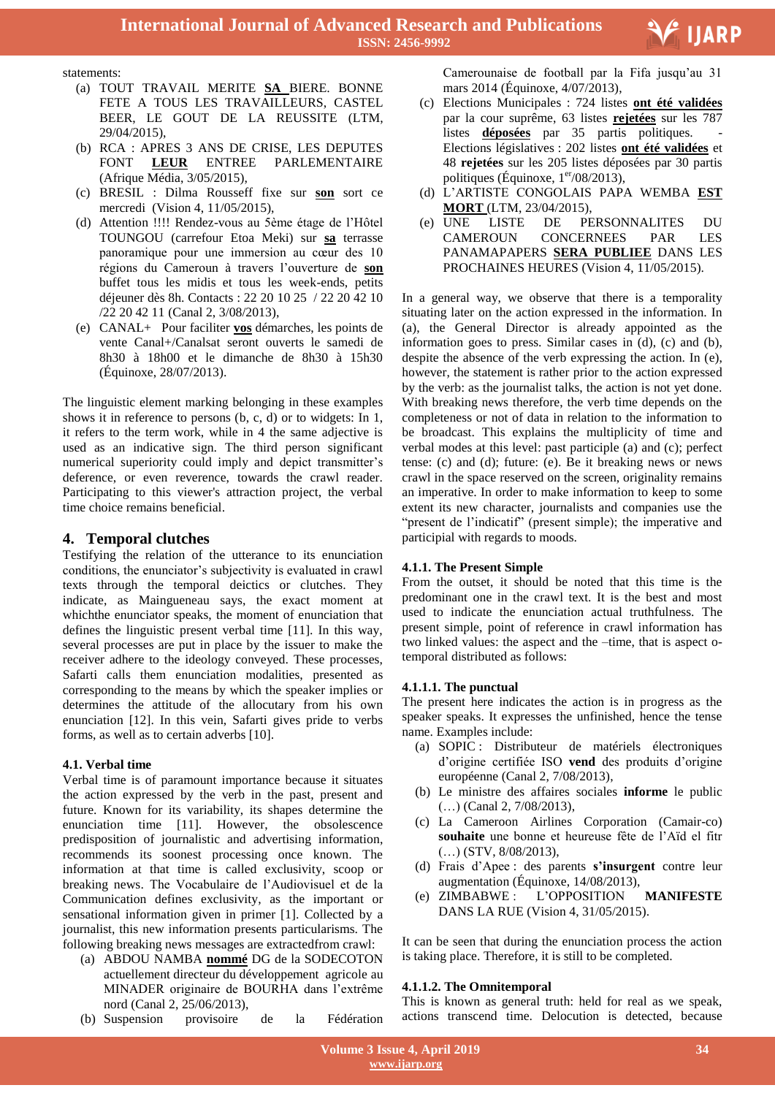

statements:

- (a) TOUT TRAVAIL MERITE **SA** BIERE. BONNE FETE A TOUS LES TRAVAILLEURS, CASTEL BEER, LE GOUT DE LA REUSSITE (LTM, 29/04/2015),
- (b) RCA : APRES 3 ANS DE CRISE, LES DEPUTES FONT **LEUR** ENTREE PARLEMENTAIRE (Afrique Média, 3/05/2015),
- (c) BRESIL : Dilma Rousseff fixe sur **son** sort ce mercredi (Vision 4, 11/05/2015),
- (d) Attention !!!! Rendez-vous au 5ème étage de l"Hôtel TOUNGOU (carrefour Etoa Meki) sur **sa** terrasse panoramique pour une immersion au cœur des 10 régions du Cameroun à travers l"ouverture de **son** buffet tous les midis et tous les week-ends, petits déjeuner dès 8h. Contacts : 22 20 10 25 / 22 20 42 10 /22 20 42 11 (Canal 2, 3/08/2013),
- (e) CANAL+ Pour faciliter **vos** démarches, les points de vente Canal+/Canalsat seront ouverts le samedi de 8h30 à 18h00 et le dimanche de 8h30 à 15h30 (Équinoxe, 28/07/2013).

The linguistic element marking belonging in these examples shows it in reference to persons (b, c, d) or to widgets: In 1, it refers to the term work, while in 4 the same adjective is used as an indicative sign. The third person significant numerical superiority could imply and depict transmitter's deference, or even reverence, towards the crawl reader. Participating to this viewer's attraction project, the verbal time choice remains beneficial.

## **4. Temporal clutches**

Testifying the relation of the utterance to its enunciation conditions, the enunciator's subjectivity is evaluated in crawl texts through the temporal deictics or clutches. They indicate, as Maingueneau says, the exact moment at whichthe enunciator speaks, the moment of enunciation that defines the linguistic present verbal time [11]. In this way, several processes are put in place by the issuer to make the receiver adhere to the ideology conveyed. These processes, Safarti calls them enunciation modalities, presented as corresponding to the means by which the speaker implies or determines the attitude of the allocutary from his own enunciation [12]. In this vein, Safarti gives pride to verbs forms, as well as to certain adverbs [10].

#### **4.1. Verbal time**

Verbal time is of paramount importance because it situates the action expressed by the verb in the past, present and future. Known for its variability, its shapes determine the enunciation time [11]. However, the obsolescence predisposition of journalistic and advertising information, recommends its soonest processing once known. The information at that time is called exclusivity, scoop or breaking news. The Vocabulaire de l"Audiovisuel et de la Communication defines exclusivity, as the important or sensational information given in primer [1]. Collected by a journalist, this new information presents particularisms. The following breaking news messages are extractedfrom crawl:

- (a) ABDOU NAMBA **nommé** DG de la SODECOTON actuellement directeur du développement agricole au MINADER originaire de BOURHA dans l"extrême nord (Canal 2, 25/06/2013),
- (b) Suspension provisoire de la Fédération

 Camerounaise de football par la Fifa jusqu"au 31 mars 2014 (Équinoxe, 4/07/2013),

- (c) Elections Municipales : 724 listes **ont été validées** par la cour suprême, 63 listes **rejetées** sur les 787 listes **déposées** par 35 partis politiques. Elections législatives : 202 listes **ont été validées** et 48 **rejetées** sur les 205 listes déposées par 30 partis politiques (Équinoxe,  $1<sup>er</sup>/08/2013$ ),
- (d) L"ARTISTE CONGOLAIS PAPA WEMBA **EST MORT** (LTM, 23/04/2015),
- (e) UNE LISTE DE PERSONNALITES DU CAMEROUN CONCERNEES PAR LES PANAMAPAPERS **SERA PUBLIEE** DANS LES PROCHAINES HEURES (Vision 4, 11/05/2015).

In a general way, we observe that there is a temporality situating later on the action expressed in the information. In (a), the General Director is already appointed as the information goes to press. Similar cases in (d), (c) and (b), despite the absence of the verb expressing the action. In (e), however, the statement is rather prior to the action expressed by the verb: as the journalist talks, the action is not yet done. With breaking news therefore, the verb time depends on the completeness or not of data in relation to the information to be broadcast. This explains the multiplicity of time and verbal modes at this level: past participle (a) and (c); perfect tense: (c) and (d); future: (e). Be it breaking news or news crawl in the space reserved on the screen, originality remains an imperative. In order to make information to keep to some extent its new character, journalists and companies use the "present de l"indicatif" (present simple); the imperative and participial with regards to moods.

#### **4.1.1. The Present Simple**

From the outset, it should be noted that this time is the predominant one in the crawl text. It is the best and most used to indicate the enunciation actual truthfulness. The present simple, point of reference in crawl information has two linked values: the aspect and the –time, that is aspect otemporal distributed as follows:

#### **4.1.1.1. The punctual**

The present here indicates the action is in progress as the speaker speaks. It expresses the unfinished, hence the tense name. Examples include:

- (a) SOPIC : Distributeur de matériels électroniques d"origine certifiée ISO **vend** des produits d"origine européenne (Canal 2, 7/08/2013),
- (b) Le ministre des affaires sociales **informe** le public (…) (Canal 2, 7/08/2013),
- (c) La Cameroon Airlines Corporation (Camair-co) **souhaite** une bonne et heureuse fête de l"Aïd el fitr (…) (STV, 8/08/2013),
- (d) Frais d"Apee : des parents **s'insurgent** contre leur augmentation (Équinoxe, 14/08/2013),
- (e) ZIMBABWE : L"OPPOSITION **MANIFESTE** DANS LA RUE (Vision 4, 31/05/2015).

It can be seen that during the enunciation process the action is taking place. Therefore, it is still to be completed.

#### **4.1.1.2. The Omnitemporal**

This is known as general truth: held for real as we speak, actions transcend time. Delocution is detected, because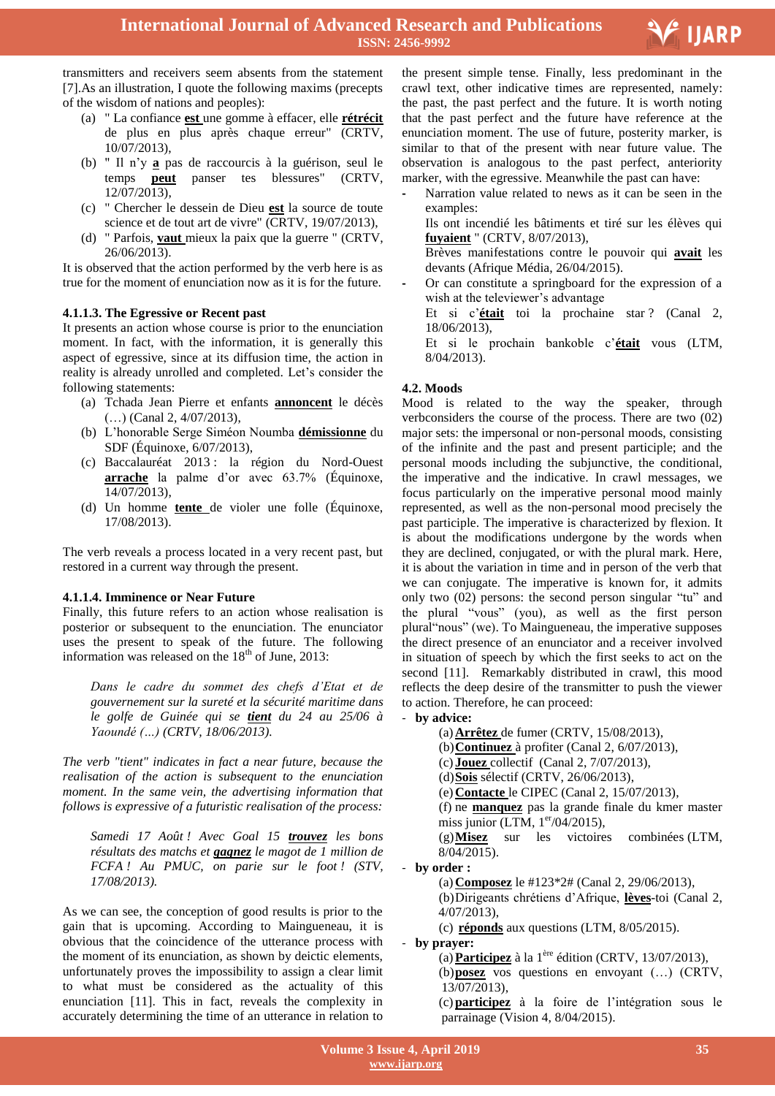

transmitters and receivers seem absents from the statement [7].As an illustration, I quote the following maxims (precepts of the wisdom of nations and peoples):

- (a) " La confiance **est** une gomme à effacer, elle **rétrécit**  de plus en plus après chaque erreur" (CRTV, 10/07/2013),
- (b) " Il n"y **a** pas de raccourcis à la guérison, seul le temps **peut** panser tes blessures" (CRTV, 12/07/2013),
- (c) " Chercher le dessein de Dieu **est** la source de toute science et de tout art de vivre" (CRTV, 19/07/2013),
- (d) " Parfois, **vaut** mieux la paix que la guerre " (CRTV, 26/06/2013).

It is observed that the action performed by the verb here is as true for the moment of enunciation now as it is for the future.

## **4.1.1.3. The Egressive or Recent past**

It presents an action whose course is prior to the enunciation moment. In fact, with the information, it is generally this aspect of egressive, since at its diffusion time, the action in reality is already unrolled and completed. Let's consider the following statements:

- (a) Tchada Jean Pierre et enfants **annoncent** le décès (…) (Canal 2, 4/07/2013),
- (b) L"honorable Serge Siméon Noumba **démissionne** du SDF (Équinoxe, 6/07/2013),
- (c) Baccalauréat 2013 : la région du Nord-Ouest **arrache** la palme d'or avec 63.7% (Équinoxe, 14/07/2013),
- (d) Un homme **tente** de violer une folle (Équinoxe, 17/08/2013).

The verb reveals a process located in a very recent past, but restored in a current way through the present.

## **4.1.1.4. Imminence or Near Future**

Finally, this future refers to an action whose realisation is posterior or subsequent to the enunciation. The enunciator uses the present to speak of the future. The following information was released on the  $18<sup>th</sup>$  of June, 2013:

*Dans le cadre du sommet des chefs d'Etat et de gouvernement sur la sureté et la sécurité maritime dans le golfe de Guinée qui se tient du 24 au 25/06 à Yaoundé (…) (CRTV, 18/06/2013).* 

*The verb "tient" indicates in fact a near future, because the realisation of the action is subsequent to the enunciation moment. In the same vein, the advertising information that follows is expressive of a futuristic realisation of the process:*

*Samedi 17 Août ! Avec Goal 15 trouvez les bons résultats des matchs et gagnez le magot de 1 million de FCFA ! Au PMUC, on parie sur le foot ! (STV, 17/08/2013).*

As we can see, the conception of good results is prior to the gain that is upcoming. According to Maingueneau, it is obvious that the coincidence of the utterance process with the moment of its enunciation, as shown by deictic elements, unfortunately proves the impossibility to assign a clear limit to what must be considered as the actuality of this enunciation [11]. This in fact, reveals the complexity in accurately determining the time of an utterance in relation to

 the present simple tense. Finally, less predominant in the crawl text, other indicative times are represented, namely: the past, the past perfect and the future. It is worth noting that the past perfect and the future have reference at the enunciation moment. The use of future, posterity marker, is similar to that of the present with near future value. The observation is analogous to the past perfect, anteriority marker, with the egressive. Meanwhile the past can have:

**-** Narration value related to news as it can be seen in the examples: Ils ont incendié les bâtiments et tiré sur les élèves qui **fuyaient** " (CRTV, 8/07/2013), Brèves manifestations contre le pouvoir qui **avait** les

devants (Afrique Média, 26/04/2015). **-** Or can constitute a springboard for the expression of a

wish at the televiewer's advantage

Et si c"**était** toi la prochaine star ? (Canal 2, 18/06/2013),

Et si le prochain bankoble c"**était** vous (LTM, 8/04/2013).

# **4.2. Moods**

Mood is related to the way the speaker, through verbconsiders the course of the process. There are two (02) major sets: the impersonal or non-personal moods, consisting of the infinite and the past and present participle; and the personal moods including the subjunctive, the conditional, the imperative and the indicative. In crawl messages, we focus particularly on the imperative personal mood mainly represented, as well as the non-personal mood precisely the past participle. The imperative is characterized by flexion. It is about the modifications undergone by the words when they are declined, conjugated, or with the plural mark. Here, it is about the variation in time and in person of the verb that we can conjugate. The imperative is known for, it admits only two (02) persons: the second person singular "tu" and the plural "vous" (you), as well as the first person plural"nous" (we). To Maingueneau, the imperative supposes the direct presence of an enunciator and a receiver involved in situation of speech by which the first seeks to act on the second [11]. Remarkably distributed in crawl, this mood reflects the deep desire of the transmitter to push the viewer to action. Therefore, he can proceed:

- **by advice:**
	- (a)**Arrêtez** de fumer (CRTV, 15/08/2013),
	- (b)**Continuez** à profiter (Canal 2, 6/07/2013),
	- (c) **Jouez** collectif (Canal 2, 7/07/2013),
	- (d)**Sois** sélectif (CRTV, 26/06/2013),
	- (e)**Contacte** le CIPEC (Canal 2, 15/07/2013),

(f) ne **manquez** pas la grande finale du kmer master miss junior (LTM,  $1<sup>er</sup>/04/2015$ ),

(g)**Misez** sur les victoires combinées (LTM, 8/04/2015).

- **by order :**

(a)**Composez** le #123\*2# (Canal 2, 29/06/2013),

(b)Dirigeants chrétiens d"Afrique, **lèves**-toi (Canal 2, 4/07/2013),

(c) **réponds** aux questions (LTM, 8/05/2015).

- **by prayer:**

(a)**Participez** à la 1ère édition (CRTV, 13/07/2013), (b)**posez** vos questions en envoyant (…) (CRTV, 13/07/2013),

(c) **participez** à la foire de l"intégration sous le parrainage (Vision 4, 8/04/2015).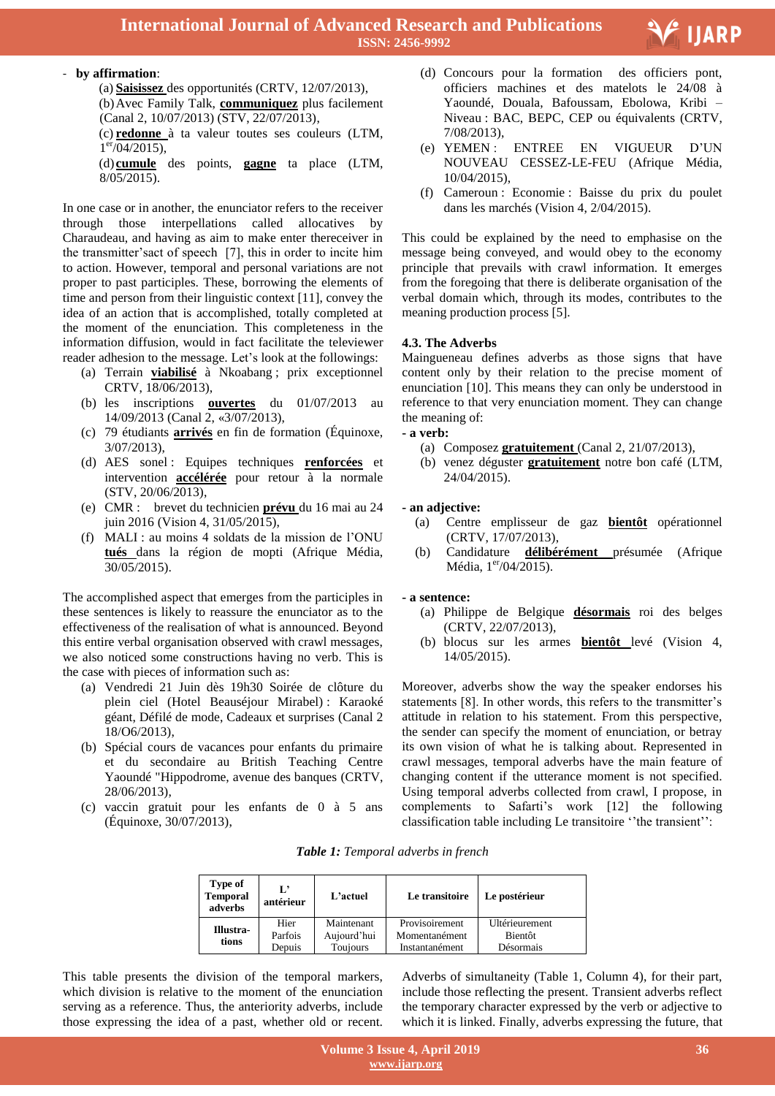

(a) **Saisissez** des opportunités (CRTV, 12/07/2013), (b)Avec Family Talk, **communiquez** plus facilement

(Canal 2, 10/07/2013) (STV, 22/07/2013), (c) **redonne** à ta valeur toutes ses couleurs (LTM,  $1<sup>er</sup> / 04 / 2015$ ),

(d) **cumule** des points, **gagne** ta place (LTM, 8/05/2015).

In one case or in another, the enunciator refers to the receiver through those interpellations called allocatives by Charaudeau, and having as aim to make enter thereceiver in the transmitter's sact of speech [7], this in order to incite him to action. However, temporal and personal variations are not proper to past participles. These, borrowing the elements of time and person from their linguistic context [11], convey the idea of an action that is accomplished, totally completed at the moment of the enunciation. This completeness in the information diffusion, would in fact facilitate the televiewer reader adhesion to the message. Let's look at the followings:

- (a) Terrain **viabilisé** à Nkoabang ; prix exceptionnel CRTV, 18/06/2013),
- (b) les inscriptions **ouvertes** du 01/07/2013 au 14/09/2013 (Canal 2, «3/07/2013),
- (c) 79 étudiants **arrivés** en fin de formation (Équinoxe, 3/07/2013),
- (d) AES sonel : Equipes techniques **renforcées** et intervention **accélérée** pour retour à la normale (STV, 20/06/2013),
- (e) CMR : brevet du technicien **prévu** du 16 mai au 24 juin 2016 (Vision 4, 31/05/2015),
- (f) MALI : au moins 4 soldats de la mission de l"ONU **tués** dans la région de mopti (Afrique Média, 30/05/2015).

The accomplished aspect that emerges from the participles in these sentences is likely to reassure the enunciator as to the effectiveness of the realisation of what is announced. Beyond this entire verbal organisation observed with crawl messages, we also noticed some constructions having no verb. This is the case with pieces of information such as:

- (a) Vendredi 21 Juin dès 19h30 Soirée de clôture du plein ciel (Hotel Beauséjour Mirabel) : Karaoké géant, Défilé de mode, Cadeaux et surprises (Canal 2 18/O6/2013),
- (b) Spécial cours de vacances pour enfants du primaire et du secondaire au British Teaching Centre Yaoundé "Hippodrome, avenue des banques (CRTV, 28/06/2013),
- (c) vaccin gratuit pour les enfants de 0 à 5 ans (Équinoxe, 30/07/2013),

des officiers pont,  $(d)$  Concours pour la formation officiers machines et des matelots le 24/08 à Yaoundé, Douala, Bafoussam, Ebolowa, Kribi – Niveau : BAC, BEPC, CEP ou équivalents (CRTV, 7/08/2013),

E<sup>'</sup> IJARP

- (e) YEMEN : ENTREE EN VIGUEUR D"UN NOUVEAU CESSEZ-LE-FEU (Afrique Média, 10/04/2015),
- (f) Cameroun : Economie : Baisse du prix du poulet dans les marchés (Vision 4, 2/04/2015).

This could be explained by the need to emphasise on the message being conveyed, and would obey to the economy principle that prevails with crawl information. It emerges from the foregoing that there is deliberate organisation of the verbal domain which, through its modes, contributes to the meaning production process [5].

#### **4.3. The Adverbs**

Maingueneau defines adverbs as those signs that have content only by their relation to the precise moment of enunciation [10]. This means they can only be understood in reference to that very enunciation moment. They can change the meaning of:

### **- a verb:**

- (a) Composez **gratuitement** (Canal 2, 21/07/2013),
- (b) venez déguster **gratuitement** notre bon café (LTM, 24/04/2015).

#### **- an adjective:**

- (a) Centre emplisseur de gaz **bientôt** opérationnel (CRTV, 17/07/2013),
- (b) Candidature **délibérément** présumée (Afrique Média, 1<sup>er</sup>/04/2015).

#### **- a sentence:**

- (a) Philippe de Belgique **désormais** roi des belges (CRTV, 22/07/2013),
- (b) blocus sur les armes **bientôt** levé (Vision 4, 14/05/2015).

Moreover, adverbs show the way the speaker endorses his statements [8]. In other words, this refers to the transmitter's attitude in relation to his statement. From this perspective, the sender can specify the moment of enunciation, or betray its own vision of what he is talking about. Represented in crawl messages, temporal adverbs have the main feature of changing content if the utterance moment is not specified. Using temporal adverbs collected from crawl, I propose, in complements to Safarti"s work [12] the following classification table including Le transitoire "the transient":

*Table 1: Temporal adverbs in french*

| Type of<br><b>Temporal</b><br>adverbs | Ľ<br>antérieur  | L'actuel                  | Le transitoire                  | Le postérieur             |
|---------------------------------------|-----------------|---------------------------|---------------------------------|---------------------------|
| Illustra-<br>tions                    | Hier<br>Parfois | Maintenant<br>Aujourd'hui | Provisoirement<br>Momentanément | Ultérieurement<br>Bientôt |
|                                       | Depuis          | Toujours                  | Instantanément                  | Désormais                 |

This table presents the division of the temporal markers, which division is relative to the moment of the enunciation serving as a reference. Thus, the anteriority adverbs, include those expressing the idea of a past, whether old or recent.

Adverbs of simultaneity (Table 1, Column 4), for their part, include those reflecting the present. Transient adverbs reflect the temporary character expressed by the verb or adjective to which it is linked. Finally, adverbs expressing the future, that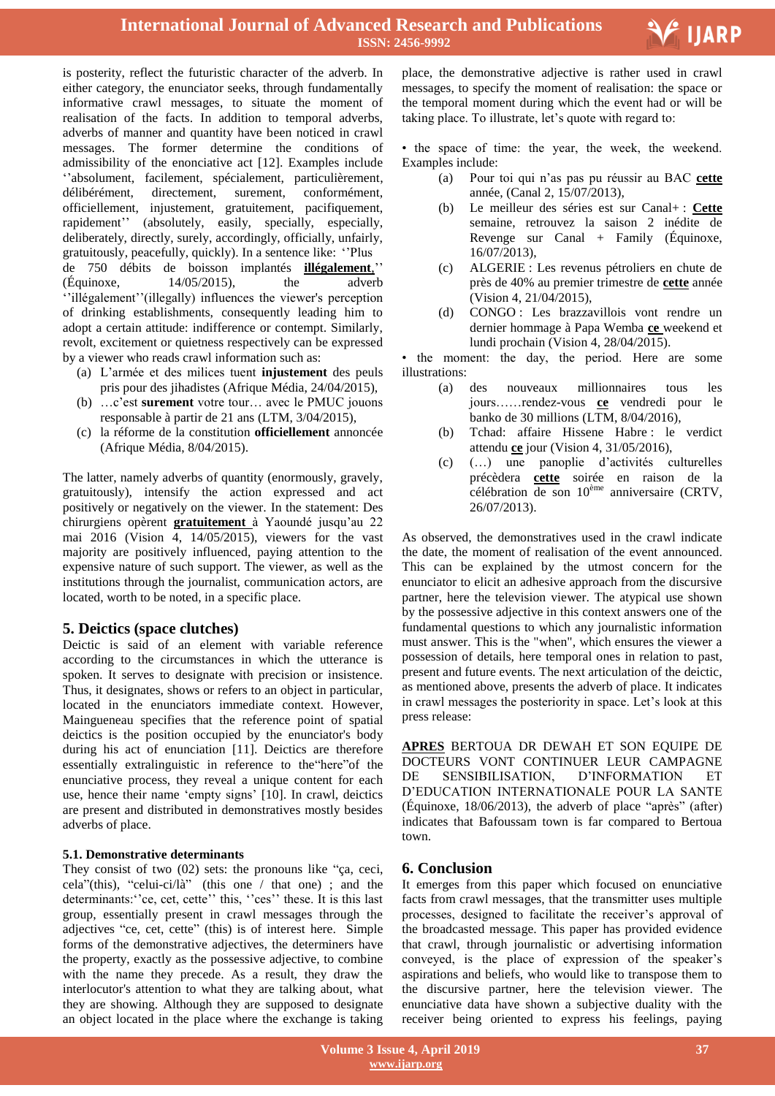

is posterity, reflect the futuristic character of the adverb. In either category, the enunciator seeks, through fundamentally informative crawl messages, to situate the moment of realisation of the facts. In addition to temporal adverbs, adverbs of manner and quantity have been noticed in crawl messages. The former determine the conditions of admissibility of the enonciative act [12]. Examples include "absolument, facilement, spécialement, particulièrement, délibérément, directement, surement, conformément, officiellement, injustement, gratuitement, pacifiquement, rapidement" (absolutely, easily, specially, especially, deliberately, directly, surely, accordingly, officially, unfairly, gratuitously, peacefully, quickly). In a sentence like: ""Plus de 750 débits de boisson implantés *illégalement*,"  $(Equinoxe,$   $14/05/2015)$ , the adverb "illégalement" (illegally) influences the viewer's perception of drinking establishments, consequently leading him to adopt a certain attitude: indifference or contempt. Similarly, revolt, excitement or quietness respectively can be expressed by a viewer who reads crawl information such as:

- (a) L"armée et des milices tuent **injustement** des peuls pris pour des jihadistes (Afrique Média, 24/04/2015),
- (b) …c"est **surement** votre tour… avec le PMUC jouons responsable à partir de 21 ans (LTM, 3/04/2015),
- (c) la réforme de la constitution **officiellement** annoncée (Afrique Média, 8/04/2015).

The latter, namely adverbs of quantity (enormously, gravely, gratuitously), intensify the action expressed and act positively or negatively on the viewer. In the statement: Des chirurgiens opèrent **gratuitement** à Yaoundé jusqu"au 22 mai 2016 (Vision 4, 14/05/2015), viewers for the vast majority are positively influenced, paying attention to the expensive nature of such support. The viewer, as well as the institutions through the journalist, communication actors, are located, worth to be noted, in a specific place.

# **5. Deictics (space clutches)**

Deictic is said of an element with variable reference according to the circumstances in which the utterance is spoken. It serves to designate with precision or insistence. Thus, it designates, shows or refers to an object in particular, located in the enunciators immediate context. However, Maingueneau specifies that the reference point of spatial deictics is the position occupied by the enunciator's body during his act of enunciation [11]. Deictics are therefore essentially extralinguistic in reference to the"here"of the enunciative process, they reveal a unique content for each use, hence their name "empty signs" [10]. In crawl, deictics are present and distributed in demonstratives mostly besides adverbs of place.

## **5.1. Demonstrative determinants**

They consist of two (02) sets: the pronouns like "ça, ceci, cela"(this), "celui-ci/là" (this one / that one) ; and the determinants: "ce, cet, cette" this, "ces" these. It is this last group, essentially present in crawl messages through the adjectives "ce, cet, cette" (this) is of interest here. Simple forms of the demonstrative adjectives, the determiners have the property, exactly as the possessive adjective, to combine with the name they precede. As a result, they draw the interlocutor's attention to what they are talking about, what they are showing. Although they are supposed to designate an object located in the place where the exchange is taking  place, the demonstrative adjective is rather used in crawl messages, to specify the moment of realisation: the space or the temporal moment during which the event had or will be taking place. To illustrate, let's quote with regard to:

• the space of time: the year, the week, the weekend. Examples include:

- (a) Pour toi qui n"as pas pu réussir au BAC **cette** année, (Canal 2, 15/07/2013),
- (b) Le meilleur des séries est sur Canal+ : **Cette** semaine, retrouvez la saison 2 inédite de Revenge sur Canal + Family (Équinoxe, 16/07/2013),
- (c) ALGERIE : Les revenus pétroliers en chute de près de 40% au premier trimestre de **cette** année (Vision 4, 21/04/2015),
- (d) CONGO : Les brazzavillois vont rendre un dernier hommage à Papa Wemba **ce** weekend et lundi prochain (Vision 4, 28/04/2015).

• the moment: the day, the period. Here are some illustrations:

- (a) des nouveaux millionnaires tous les jours……rendez-vous **ce** vendredi pour le banko de 30 millions (LTM, 8/04/2016),
- (b) Tchad: affaire Hissene Habre : le verdict attendu **ce** jour (Vision 4, 31/05/2016),
- (c) (…) une panoplie d"activités culturelles précèdera **cette** soirée en raison de la célébration de son 10ème anniversaire (CRTV, 26/07/2013).

As observed, the demonstratives used in the crawl indicate the date, the moment of realisation of the event announced. This can be explained by the utmost concern for the enunciator to elicit an adhesive approach from the discursive partner, here the television viewer. The atypical use shown by the possessive adjective in this context answers one of the fundamental questions to which any journalistic information must answer. This is the "when", which ensures the viewer a possession of details, here temporal ones in relation to past, present and future events. The next articulation of the deictic, as mentioned above, presents the adverb of place. It indicates in crawl messages the posteriority in space. Let's look at this press release:

**APRES** BERTOUA DR DEWAH ET SON EQUIPE DE DOCTEURS VONT CONTINUER LEUR CAMPAGNE DE SENSIBILISATION, D"INFORMATION ET D"EDUCATION INTERNATIONALE POUR LA SANTE  $(Equinoxe, 18/06/2013)$ , the adverb of place "après" (after) indicates that Bafoussam town is far compared to Bertoua town.

# **6. Conclusion**

It emerges from this paper which focused on enunciative facts from crawl messages, that the transmitter uses multiple processes, designed to facilitate the receiver"s approval of the broadcasted message. This paper has provided evidence that crawl, through journalistic or advertising information conveyed, is the place of expression of the speaker's aspirations and beliefs, who would like to transpose them to the discursive partner, here the television viewer. The enunciative data have shown a subjective duality with the receiver being oriented to express his feelings, paying